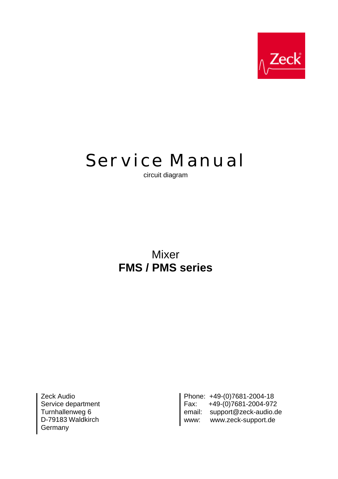

## **Service Manual**

circuit diagram

## Mixer **FMS / PMS series**

Zeck Audio Service department Turnhallenweg 6 D-79183 Waldkirch **Germany** 

Phone: +49-(0)7681-2004-18 Fax: +49-(0)7681-2004-972 email: support@zeck-audio.de www: www.zeck-support.de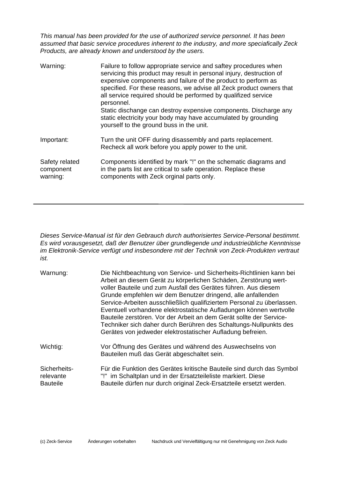*This manual has been provided for the use of authorized service personnel. It has been assumed that basic service procedures inherent to the industry, and more speciafically Zeck Products, are already known and understood by the users.*

| Warning:                                | Failure to follow appropriate service and saftey procedures when<br>servicing this product may result in personal injury, destruction of<br>expensive components and failure of the product to perform as<br>specified. For these reasons, we advise all Zeck product owners that<br>all service required should be performed by qualifized service<br>personnel.<br>Static dischange can destroy expensive components. Discharge any<br>static electricity your body may have accumulated by grounding<br>yourself to the ground buss in the unit. |
|-----------------------------------------|-----------------------------------------------------------------------------------------------------------------------------------------------------------------------------------------------------------------------------------------------------------------------------------------------------------------------------------------------------------------------------------------------------------------------------------------------------------------------------------------------------------------------------------------------------|
| Important:                              | Turn the unit OFF during disassembly and parts replacement.<br>Recheck all work before you apply power to the unit.                                                                                                                                                                                                                                                                                                                                                                                                                                 |
| Safety related<br>component<br>warning: | Components identified by mark "!" on the schematic diagrams and<br>in the parts list are critical to safe operation. Replace these<br>components with Zeck orginal parts only.                                                                                                                                                                                                                                                                                                                                                                      |

*Dieses Service-Manual ist für den Gebrauch durch authorisiertes Service-Personal bestimmt. Es wird vorausgesetzt, daß der Benutzer über grundlegende und industrieübliche Kenntnisse im Elektronik-Service verfügt und insbesondere mit der Technik von Zeck-Produkten vertraut ist.*

| Warnung:                                     | Die Nichtbeachtung von Service- und Sicherheits-Richtlinien kann bei<br>Arbeit an diesem Gerät zu körperlichen Schäden, Zerstörung wert-<br>voller Bauteile und zum Ausfall des Gerätes führen. Aus diesem<br>Grunde empfehlen wir dem Benutzer dringend, alle anfallenden<br>Service-Arbeiten ausschließlich qualifiziertem Personal zu überlassen.<br>Eventuell vorhandene elektrostatische Aufladungen können wertvolle<br>Bauteile zerstören. Vor der Arbeit an dem Gerät sollte der Service-<br>Techniker sich daher durch Berühren des Schaltungs-Nullpunkts des<br>Gerätes von jedweder elektrostatischer Aufladung befreien. |
|----------------------------------------------|--------------------------------------------------------------------------------------------------------------------------------------------------------------------------------------------------------------------------------------------------------------------------------------------------------------------------------------------------------------------------------------------------------------------------------------------------------------------------------------------------------------------------------------------------------------------------------------------------------------------------------------|
| Wichtig:                                     | Vor Öffnung des Gerätes und während des Auswechselns von<br>Bauteilen muß das Gerät abgeschaltet sein.                                                                                                                                                                                                                                                                                                                                                                                                                                                                                                                               |
| Sicherheits-<br>relevante<br><b>Bauteile</b> | Für die Funktion des Gerätes kritische Bauteile sind durch das Symbol<br>"!" im Schaltplan und in der Ersatzteileliste markiert. Diese<br>Bauteile dürfen nur durch original Zeck-Ersatzteile ersetzt werden.                                                                                                                                                                                                                                                                                                                                                                                                                        |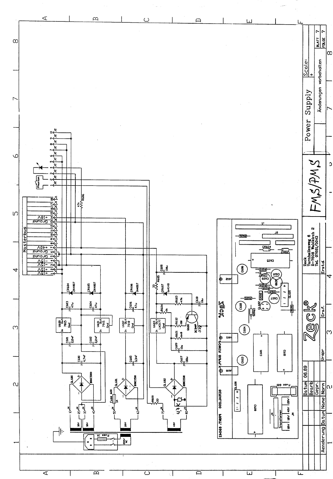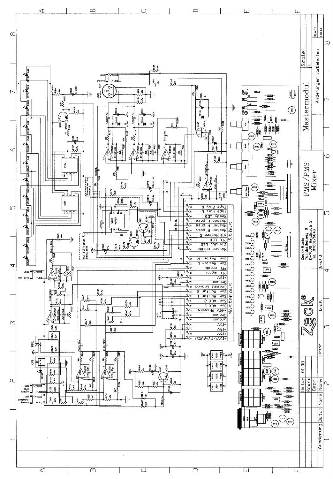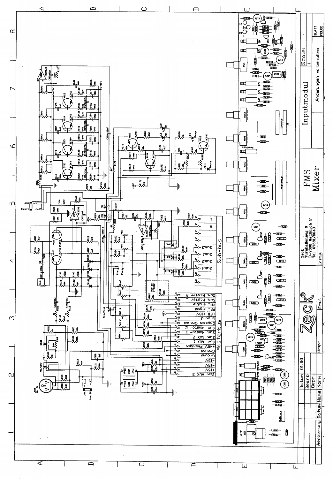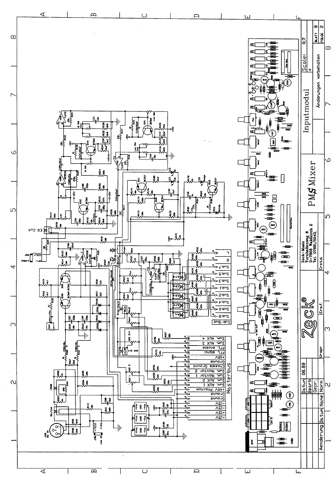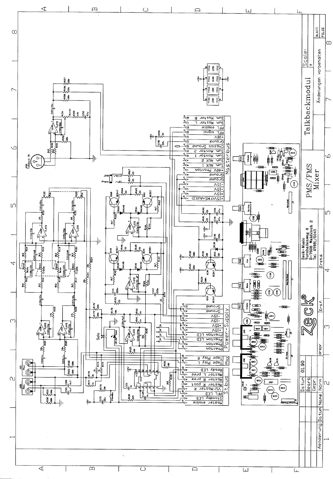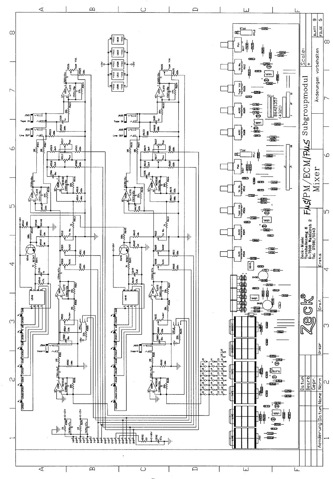